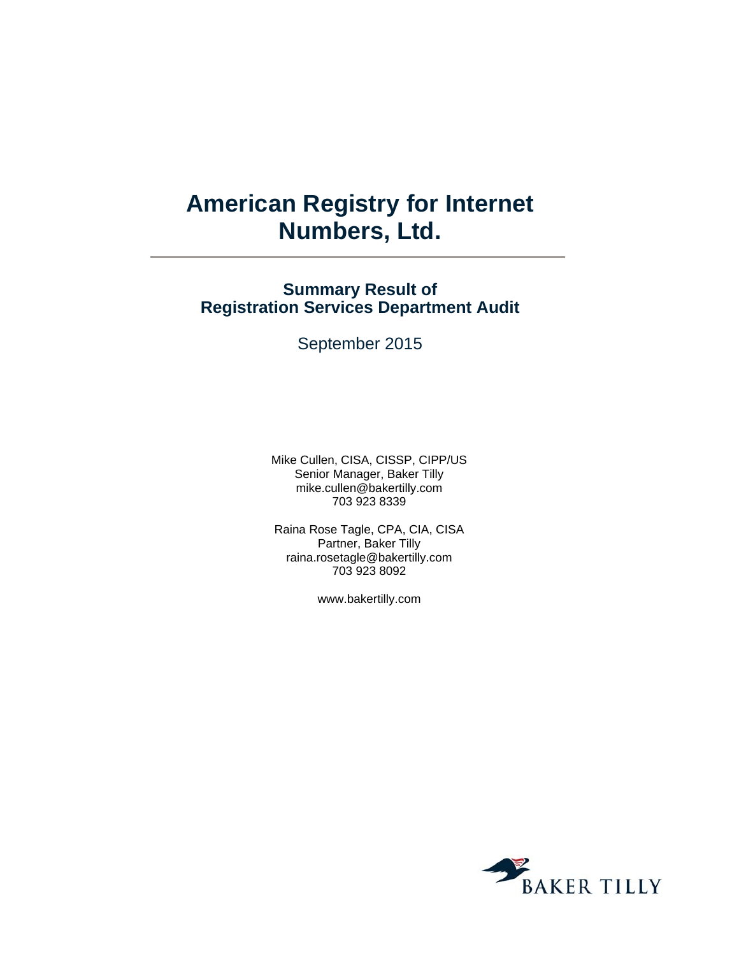# **American Registry for Internet Numbers, Ltd.**

# **Summary Result of Registration Services Department Audit**

September 2015

Mike Cullen, CISA, CISSP, CIPP/US Senior Manager, Baker Tilly mike.cullen@bakertilly.com 703 923 8339

Raina Rose Tagle, CPA, CIA, CISA Partner, Baker Tilly raina.rosetagle@bakertilly.com 703 923 8092

www.bakertilly.com

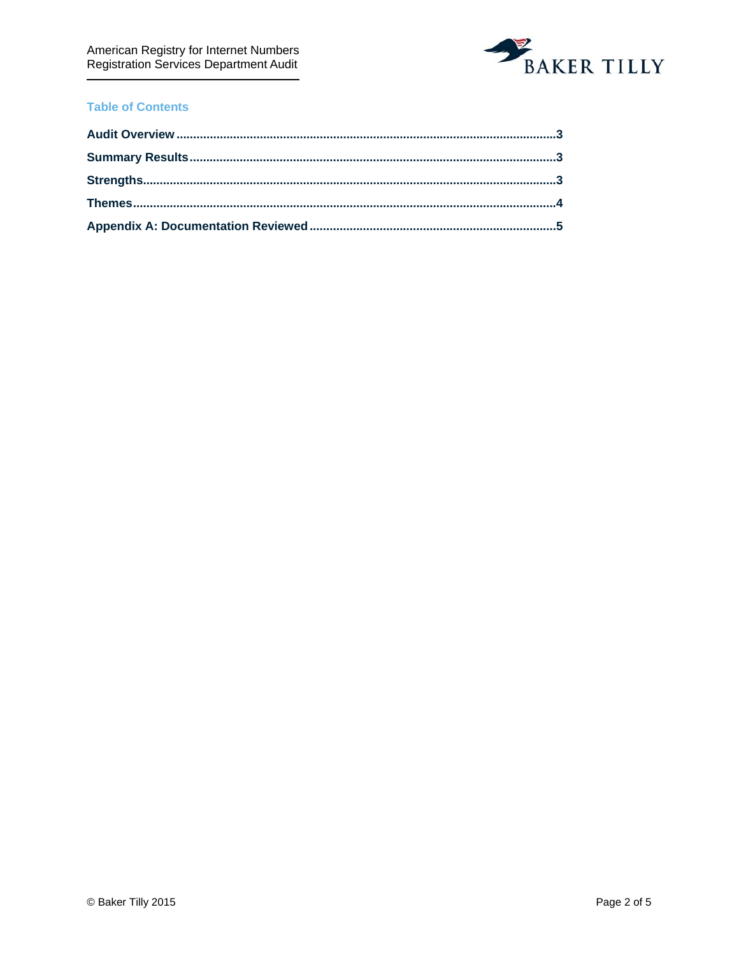

## **Table of Contents**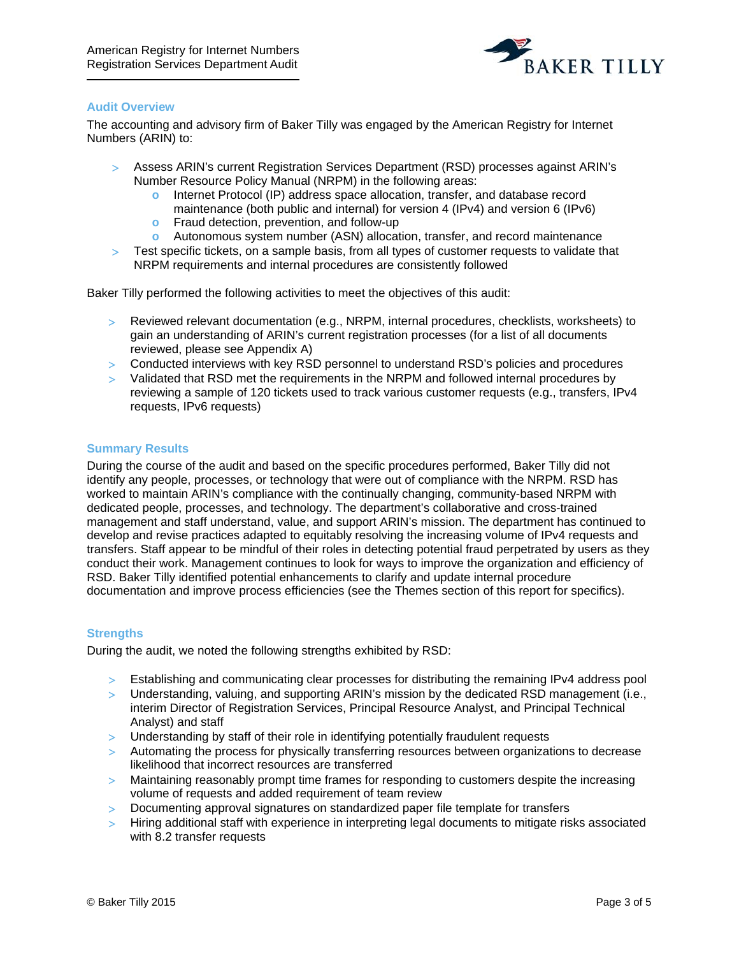

#### **Audit Overview**

The accounting and advisory firm of Baker Tilly was engaged by the American Registry for Internet Numbers (ARIN) to:

- Assess ARIN's current Registration Services Department (RSD) processes against ARIN's Number Resource Policy Manual (NRPM) in the following areas:
	- **o** Internet Protocol (IP) address space allocation, transfer, and database record maintenance (both public and internal) for version 4 (IPv4) and version 6 (IPv6)
	- **o** Fraud detection, prevention, and follow-up
	- **o** Autonomous system number (ASN) allocation, transfer, and record maintenance
- Test specific tickets, on a sample basis, from all types of customer requests to validate that NRPM requirements and internal procedures are consistently followed

Baker Tilly performed the following activities to meet the objectives of this audit:

- Reviewed relevant documentation (e.g., NRPM, internal procedures, checklists, worksheets) to gain an understanding of ARIN's current registration processes (for a list of all documents reviewed, please see Appendix A)
- Conducted interviews with key RSD personnel to understand RSD's policies and procedures
- Validated that RSD met the requirements in the NRPM and followed internal procedures by reviewing a sample of 120 tickets used to track various customer requests (e.g., transfers, IPv4 requests, IPv6 requests)

#### **Summary Results**

During the course of the audit and based on the specific procedures performed, Baker Tilly did not identify any people, processes, or technology that were out of compliance with the NRPM. RSD has worked to maintain ARIN's compliance with the continually changing, community-based NRPM with dedicated people, processes, and technology. The department's collaborative and cross-trained management and staff understand, value, and support ARIN's mission. The department has continued to develop and revise practices adapted to equitably resolving the increasing volume of IPv4 requests and transfers. Staff appear to be mindful of their roles in detecting potential fraud perpetrated by users as they conduct their work. Management continues to look for ways to improve the organization and efficiency of RSD. Baker Tilly identified potential enhancements to clarify and update internal procedure documentation and improve process efficiencies (see the Themes section of this report for specifics).

#### **Strengths**

During the audit, we noted the following strengths exhibited by RSD:

- Establishing and communicating clear processes for distributing the remaining IPv4 address pool
- Understanding, valuing, and supporting ARIN's mission by the dedicated RSD management (i.e., interim Director of Registration Services, Principal Resource Analyst, and Principal Technical Analyst) and staff
- > Understanding by staff of their role in identifying potentially fraudulent requests
- > Automating the process for physically transferring resources between organizations to decrease likelihood that incorrect resources are transferred
- Maintaining reasonably prompt time frames for responding to customers despite the increasing volume of requests and added requirement of team review
- Documenting approval signatures on standardized paper file template for transfers
- > Hiring additional staff with experience in interpreting legal documents to mitigate risks associated with 8.2 transfer requests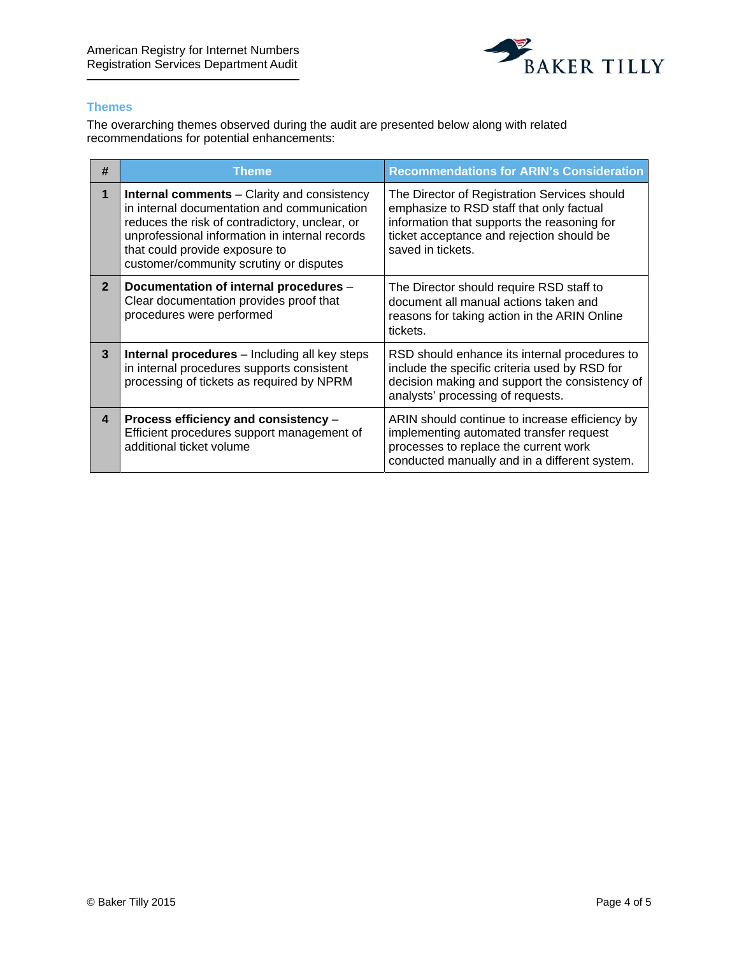

### **Themes**

The overarching themes observed during the audit are presented below along with related recommendations for potential enhancements:

| #              | Theme                                                                                                                                                                                                                                                                              | <b>Recommendations for ARIN's Consideration</b>                                                                                                                                                           |
|----------------|------------------------------------------------------------------------------------------------------------------------------------------------------------------------------------------------------------------------------------------------------------------------------------|-----------------------------------------------------------------------------------------------------------------------------------------------------------------------------------------------------------|
| $\mathbf{1}$   | <b>Internal comments</b> – Clarity and consistency<br>in internal documentation and communication<br>reduces the risk of contradictory, unclear, or<br>unprofessional information in internal records<br>that could provide exposure to<br>customer/community scrutiny or disputes | The Director of Registration Services should<br>emphasize to RSD staff that only factual<br>information that supports the reasoning for<br>ticket acceptance and rejection should be<br>saved in tickets. |
| $\overline{2}$ | Documentation of internal procedures -<br>Clear documentation provides proof that<br>procedures were performed                                                                                                                                                                     | The Director should require RSD staff to<br>document all manual actions taken and<br>reasons for taking action in the ARIN Online<br>tickets.                                                             |
| 3              | <b>Internal procedures</b> – Including all key steps<br>in internal procedures supports consistent<br>processing of tickets as required by NPRM                                                                                                                                    | RSD should enhance its internal procedures to<br>include the specific criteria used by RSD for<br>decision making and support the consistency of<br>analysts' processing of requests.                     |
| 4              | Process efficiency and consistency -<br>Efficient procedures support management of<br>additional ticket volume                                                                                                                                                                     | ARIN should continue to increase efficiency by<br>implementing automated transfer request<br>processes to replace the current work<br>conducted manually and in a different system.                       |